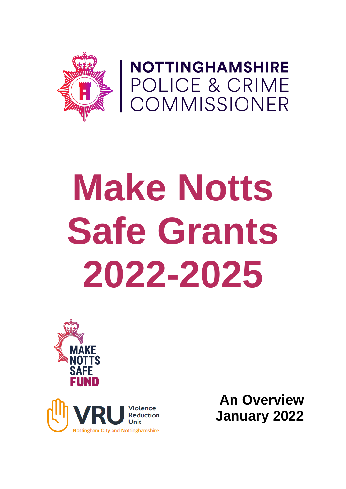

NOTTINGHAMSHIRE<br>POLICE & CRIME<br>COMMISSIONER

# **Make Notts Safe Grants 2022-2025**





**An Overview January 2022**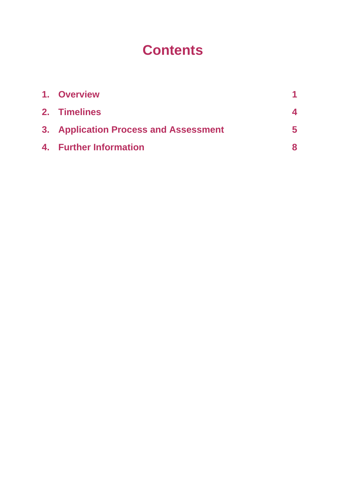# **Contents**

| 1. Overview                           |    |
|---------------------------------------|----|
| 2. Timelines                          |    |
| 3. Application Process and Assessment | 5. |
| 4. Further Information                | 8  |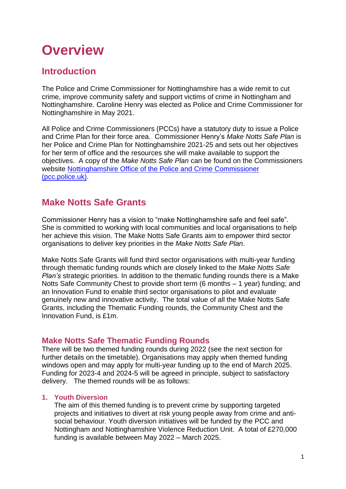# **Overview**

# **Introduction**

The Police and Crime Commissioner for Nottinghamshire has a wide remit to cut crime, improve community safety and support victims of crime in Nottingham and Nottinghamshire. Caroline Henry was elected as Police and Crime Commissioner for Nottinghamshire in May 2021.

All Police and Crime Commissioners (PCCs) have a statutory duty to issue a Police and Crime Plan for their force area. Commissioner Henry's *Make Notts Safe Plan* is her Police and Crime Plan for Nottinghamshire 2021-25 and sets out her objectives for her term of office and the resources she will make available to support the objectives. A copy of the *Make Notts Safe Plan* can be found on the Commissioners website [Nottinghamshire Office of the Police and Crime Commissioner](https://www.nottinghamshire.pcc.police.uk/Home.aspx)  [\(pcc.police.uk\).](https://www.nottinghamshire.pcc.police.uk/Home.aspx)

## **Make Notts Safe Grants**

Commissioner Henry has a vision to "make Nottinghamshire safe and feel safe". She is committed to working with local communities and local organisations to help her achieve this vision. The Make Notts Safe Grants aim to empower third sector organisations to deliver key priorities in the *Make Notts Safe Plan*.

Make Notts Safe Grants will fund third sector organisations with multi-year funding through thematic funding rounds which are closely linked to the *Make Notts Safe Plan's* strategic priorities. In addition to the thematic funding rounds there is a Make Notts Safe Community Chest to provide short term (6 months – 1 year) funding; and an Innovation Fund to enable third sector organisations to pilot and evaluate genuinely new and innovative activity. The total value of all the Make Notts Safe Grants, including the Thematic Funding rounds, the Community Chest and the Innovation Fund, is £1m.

### **Make Notts Safe Thematic Funding Rounds**

There will be two themed funding rounds during 2022 (see the next section for further details on the timetable). Organisations may apply when themed funding windows open and may apply for multi-year funding up to the end of March 2025. Funding for 2023-4 and 2024-5 will be agreed in principle, subject to satisfactory delivery. The themed rounds will be as follows:

### **1. Youth Diversion**

The aim of this themed funding is to prevent crime by supporting targeted projects and initiatives to divert at risk young people away from crime and antisocial behaviour. Youth diversion initiatives will be funded by the PCC and Nottingham and Nottinghamshire Violence Reduction Unit. A total of £270,000 funding is available between May 2022 – March 2025.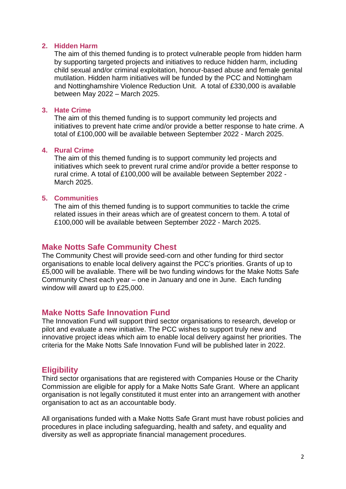#### **2. Hidden Harm**

The aim of this themed funding is to protect vulnerable people from hidden harm by supporting targeted projects and initiatives to reduce hidden harm, including child sexual and/or criminal exploitation, honour-based abuse and female genital mutilation. Hidden harm initiatives will be funded by the PCC and Nottingham and Nottinghamshire Violence Reduction Unit. A total of £330,000 is available between May 2022 – March 2025.

#### **3. Hate Crime**

The aim of this themed funding is to support community led projects and initiatives to prevent hate crime and/or provide a better response to hate crime. A total of £100,000 will be available between September 2022 - March 2025.

#### **4. Rural Crime**

The aim of this themed funding is to support community led projects and initiatives which seek to prevent rural crime and/or provide a better response to rural crime. A total of £100,000 will be available between September 2022 - March 2025.

#### **5. Communities**

The aim of this themed funding is to support communities to tackle the crime related issues in their areas which are of greatest concern to them. A total of £100,000 will be available between September 2022 - March 2025.

### **Make Notts Safe Community Chest**

The Community Chest will provide seed-corn and other funding for third sector organisations to enable local delivery against the PCC's priorities. Grants of up to £5,000 will be avaliable. There will be two funding windows for the Make Notts Safe Community Chest each year – one in January and one in June. Each funding window will award up to £25,000.

### **Make Notts Safe Innovation Fund**

The Innovation Fund will support third sector organisations to research, develop or pilot and evaluate a new initiative. The PCC wishes to support truly new and innovative project ideas which aim to enable local delivery against her priorities. The criteria for the Make Notts Safe Innovation Fund will be published later in 2022.

### **Eligibility**

Third sector organisations that are registered with Companies House or the Charity Commission are eligible for apply for a Make Notts Safe Grant. Where an applicant organisation is not legally constituted it must enter into an arrangement with another organisation to act as an accountable body.

All organisations funded with a Make Notts Safe Grant must have robust policies and procedures in place including safeguarding, health and safety, and equality and diversity as well as appropriate financial management procedures.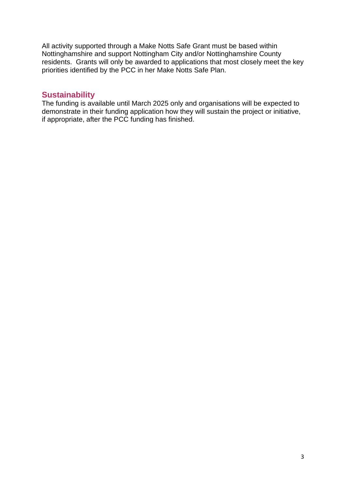All activity supported through a Make Notts Safe Grant must be based within Nottinghamshire and support Nottingham City and/or Nottinghamshire County residents. Grants will only be awarded to applications that most closely meet the key priorities identified by the PCC in her Make Notts Safe Plan.

### **Sustainability**

The funding is available until March 2025 only and organisations will be expected to demonstrate in their funding application how they will sustain the project or initiative, if appropriate, after the PCC funding has finished.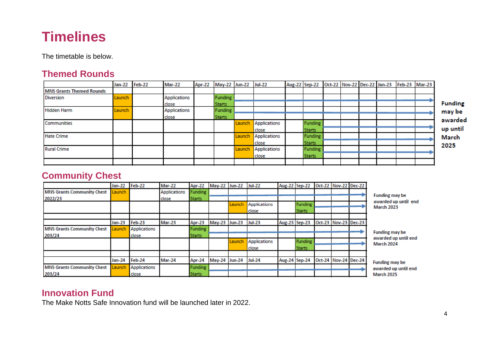# **Timelines**

The timetable is below.

### **Themed Rounds**

|                                 | Jan-22 Feb-22 | Mar-22              | Apr-22 | May-22 Jun-22 Jul-22 |        |                     | Aug-22 Sep-22 Oct-22 Nov-22 Dec-22 Jan-23 Feb-23 Mar-23 |  |  |  |
|---------------------------------|---------------|---------------------|--------|----------------------|--------|---------------------|---------------------------------------------------------|--|--|--|
| <b>MNS Grants Themed Rounds</b> |               |                     |        |                      |        |                     |                                                         |  |  |  |
| <b>Diversion</b>                | Launch        | <b>Applications</b> |        | Funding              |        |                     |                                                         |  |  |  |
|                                 |               | close               |        | <b>Starts</b>        |        |                     |                                                         |  |  |  |
| <b>Hidden Harm</b>              | Launch        | <b>Applications</b> |        | <b>Funding</b>       |        |                     |                                                         |  |  |  |
|                                 |               | close               |        | <b>Starts</b>        |        |                     |                                                         |  |  |  |
| Communities                     |               |                     |        |                      |        | Launch Applications | <b>Funding</b>                                          |  |  |  |
|                                 |               |                     |        |                      |        | close               | <b>Starts</b>                                           |  |  |  |
| <b>Hate Crime</b>               |               |                     |        |                      | Launch | Applications        | <b>Funding</b>                                          |  |  |  |
|                                 |               |                     |        |                      |        | close               | <b>Starts</b>                                           |  |  |  |
| <b>Rural Crime</b>              |               |                     |        |                      | Launch | Applications        | <b>Funding</b>                                          |  |  |  |
|                                 |               |                     |        |                      |        | close               | <b>Starts</b>                                           |  |  |  |
|                                 |               |                     |        |                      |        |                     |                                                         |  |  |  |

g s. ed il

# **Community Chest**

|                                   | Jan-22 Feb-22 |                     | Mar-22              |                | Apr-22 May-22 Jun-22 Jul-22 |        |                     |               | Aug-22 Sep-22 Oct-22 Nov-22 Dec-22 |                      |                                               |
|-----------------------------------|---------------|---------------------|---------------------|----------------|-----------------------------|--------|---------------------|---------------|------------------------------------|----------------------|-----------------------------------------------|
| <b>MNS Grants Community Chest</b> | Launch        |                     | <b>Applications</b> | Funding        |                             |        |                     |               |                                    |                      |                                               |
| 2022/23                           |               |                     | close               | <b>Starts</b>  |                             |        |                     |               |                                    |                      | <b>Funding may be</b><br>awarded up until end |
|                                   |               |                     |                     |                |                             | Launch | <b>Applications</b> |               | <b>Funding</b>                     |                      | <b>March 2023</b>                             |
|                                   |               |                     |                     |                |                             |        | close               |               | <b>Starts</b>                      |                      |                                               |
|                                   |               |                     |                     |                |                             |        |                     |               |                                    |                      |                                               |
|                                   | <b>Jan-23</b> | Feb-23              | <b>Mar-23</b>       | Apr-23         | May-23 Jun-23 Jul-23        |        |                     | Aug-23 Sep-23 |                                    | Oct-23 Nov-23 Dec-23 |                                               |
| <b>MNS Grants Community Chest</b> | Launch        | <b>Applications</b> |                     | <b>Funding</b> |                             |        |                     |               |                                    |                      |                                               |
| 203/24                            |               | dose                |                     | <b>Starts</b>  |                             |        |                     |               |                                    |                      | <b>Funding may be</b><br>awarded up until end |
|                                   |               |                     |                     |                |                             | Launch | <b>Applications</b> |               | Funding                            |                      | March 2024                                    |
|                                   |               |                     |                     |                |                             |        | close               |               | <b>Starts</b>                      |                      |                                               |
|                                   |               |                     |                     |                |                             |        |                     |               |                                    |                      |                                               |
|                                   | Jan-24        | Feb-24              | Mar-24              | Apr-24         | May-24 Jun-24               |        | <b>Jul-24</b>       | Aug-24 Sep-24 |                                    | Oct-24 Nov-24 Dec-24 | <b>Funding may be</b>                         |
| <b>MNS Grants Community Chest</b> | Launch        | <b>Applications</b> |                     | <b>Funding</b> |                             |        |                     |               |                                    |                      | awarded up until end                          |
| 203/24                            |               | dose                |                     | <b>Starts</b>  |                             |        |                     |               |                                    |                      | March 2025                                    |

### **Innovation Fund**

The Make Notts Safe Innovation fund will be launched later in 2022.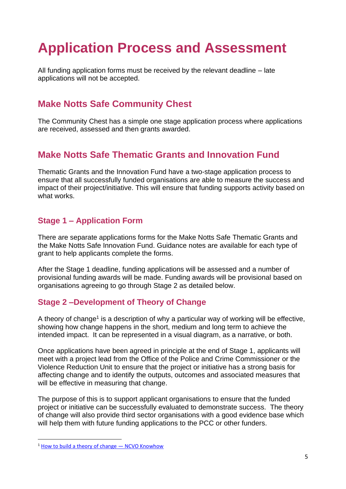# **Application Process and Assessment**

All funding application forms must be received by the relevant deadline – late applications will not be accepted.

# **Make Notts Safe Community Chest**

The Community Chest has a simple one stage application process where applications are received, assessed and then grants awarded.

## **Make Notts Safe Thematic Grants and Innovation Fund**

Thematic Grants and the Innovation Fund have a two-stage application process to ensure that all successfully funded organisations are able to measure the success and impact of their project/initiative. This will ensure that funding supports activity based on what works.

### **Stage 1 – Application Form**

There are separate applications forms for the Make Notts Safe Thematic Grants and the Make Notts Safe Innovation Fund. Guidance notes are available for each type of grant to help applicants complete the forms.

After the Stage 1 deadline, funding applications will be assessed and a number of provisional funding awards will be made. Funding awards will be provisional based on organisations agreeing to go through Stage 2 as detailed below.

### **Stage 2 –Development of Theory of Change**

A theory of change<sup>1</sup> is a description of why a particular way of working will be effective, showing how change happens in the short, medium and long term to achieve the intended impact. It can be represented in a visual diagram, as a narrative, or both.

Once applications have been agreed in principle at the end of Stage 1, applicants will meet with a project lead from the Office of the Police and Crime Commissioner or the Violence Reduction Unit to ensure that the project or initiative has a strong basis for affecting change and to identify the outputs, outcomes and associated measures that will be effective in measuring that change.

The purpose of this is to support applicant organisations to ensure that the funded project or initiative can be successfully evaluated to demonstrate success. The theory of change will also provide third sector organisations with a good evidence base which will help them with future funding applications to the PCC or other funders.

 $1$  [How to build a theory of change](https://knowhow.ncvo.org.uk/how-to/how-to-build-a-theory-of-change)  $-$  NCVO Knowhow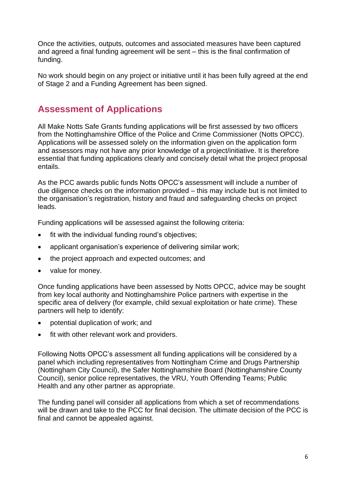Once the activities, outputs, outcomes and associated measures have been captured and agreed a final funding agreement will be sent – this is the final confirmation of funding.

No work should begin on any project or initiative until it has been fully agreed at the end of Stage 2 and a Funding Agreement has been signed.

### **Assessment of Applications**

All Make Notts Safe Grants funding applications will be first assessed by two officers from the Nottinghamshire Office of the Police and Crime Commissioner (Notts OPCC). Applications will be assessed solely on the information given on the application form and assessors may not have any prior knowledge of a project/initiative. It is therefore essential that funding applications clearly and concisely detail what the project proposal entails.

As the PCC awards public funds Notts OPCC's assessment will include a number of due diligence checks on the information provided – this may include but is not limited to the organisation's registration, history and fraud and safeguarding checks on project leads.

Funding applications will be assessed against the following criteria:

- fit with the individual funding round's objectives;
- applicant organisation's experience of delivering similar work;
- the project approach and expected outcomes; and
- value for money.

Once funding applications have been assessed by Notts OPCC, advice may be sought from key local authority and Nottinghamshire Police partners with expertise in the specific area of delivery (for example, child sexual exploitation or hate crime). These partners will help to identify:

- potential duplication of work; and
- fit with other relevant work and providers.

Following Notts OPCC's assessment all funding applications will be considered by a panel which including representatives from Nottingham Crime and Drugs Partnership (Nottingham City Council), the Safer Nottinghamshire Board (Nottinghamshire County Council), senior police representatives, the VRU, Youth Offending Teams; Public Health and any other partner as appropriate.

The funding panel will consider all applications from which a set of recommendations will be drawn and take to the PCC for final decision. The ultimate decision of the PCC is final and cannot be appealed against.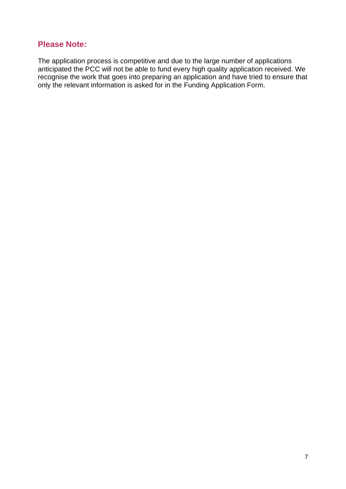### **Please Note:**

The application process is competitive and due to the large number of applications anticipated the PCC will not be able to fund every high quality application received. We recognise the work that goes into preparing an application and have tried to ensure that only the relevant information is asked for in the Funding Application Form.